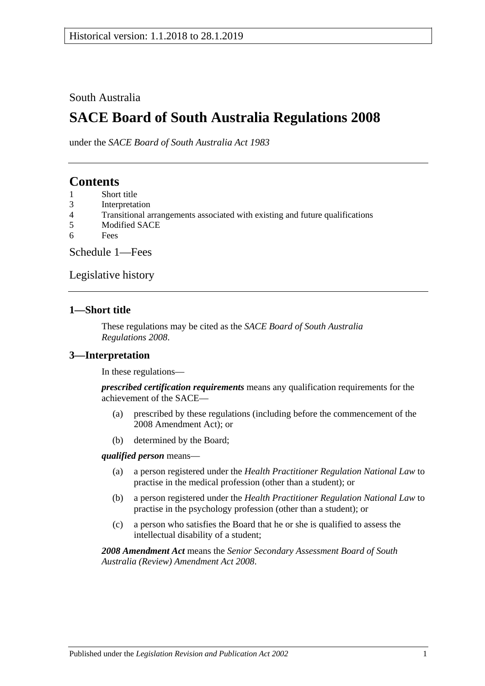## South Australia

# **SACE Board of South Australia Regulations 2008**

under the *SACE Board of South Australia Act 1983*

# **Contents**

- 1 [Short title](#page-0-0)
- 3 [Interpretation](#page-0-1)
- 4 [Transitional arrangements associated with existing and future qualifications](#page-1-0)
- 5 [Modified SACE](#page-1-1)
- 6 [Fees](#page-1-2)

[Schedule 1—Fees](#page-1-3)

[Legislative history](#page-4-0)

### <span id="page-0-0"></span>**1—Short title**

These regulations may be cited as the *SACE Board of South Australia Regulations 2008*.

### <span id="page-0-1"></span>**3—Interpretation**

In these regulations—

*prescribed certification requirements* means any qualification requirements for the achievement of the SACE—

- (a) prescribed by these regulations (including before the commencement of the 2008 Amendment Act); or
- (b) determined by the Board;

#### *qualified person* means—

- (a) a person registered under the *[Health Practitioner Regulation National Law](http://www.legislation.sa.gov.au/index.aspx?action=legref&type=act&legtitle=Health%20Practitioner%20Regulation%20National%20Law)* to practise in the medical profession (other than a student); or
- (b) a person registered under the *[Health Practitioner Regulation National Law](http://www.legislation.sa.gov.au/index.aspx?action=legref&type=act&legtitle=Health%20Practitioner%20Regulation%20National%20Law)* to practise in the psychology profession (other than a student); or
- (c) a person who satisfies the Board that he or she is qualified to assess the intellectual disability of a student;

*2008 Amendment Act* means the *[Senior Secondary Assessment Board of South](http://www.legislation.sa.gov.au/index.aspx?action=legref&type=act&legtitle=Senior%20Secondary%20Assessment%20Board%20of%20South%20Australia%20(Review)%20Amendment%20Act%202008)  [Australia \(Review\) Amendment Act](http://www.legislation.sa.gov.au/index.aspx?action=legref&type=act&legtitle=Senior%20Secondary%20Assessment%20Board%20of%20South%20Australia%20(Review)%20Amendment%20Act%202008) 2008*.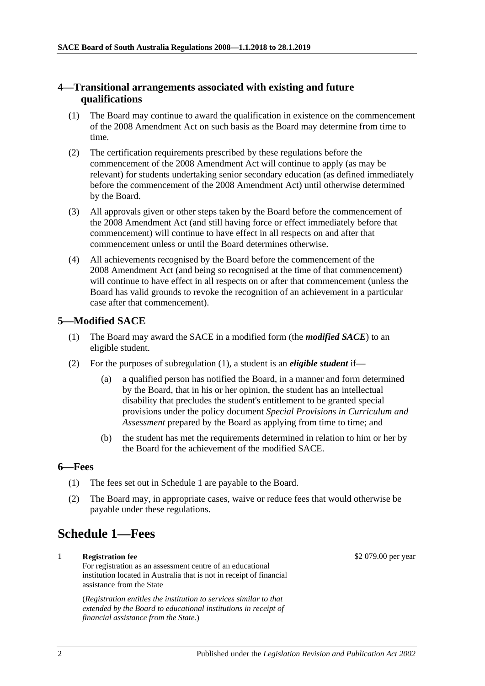### <span id="page-1-0"></span>**4—Transitional arrangements associated with existing and future qualifications**

- (1) The Board may continue to award the qualification in existence on the commencement of the 2008 Amendment Act on such basis as the Board may determine from time to time.
- (2) The certification requirements prescribed by these regulations before the commencement of the 2008 Amendment Act will continue to apply (as may be relevant) for students undertaking senior secondary education (as defined immediately before the commencement of the 2008 Amendment Act) until otherwise determined by the Board.
- (3) All approvals given or other steps taken by the Board before the commencement of the 2008 Amendment Act (and still having force or effect immediately before that commencement) will continue to have effect in all respects on and after that commencement unless or until the Board determines otherwise.
- (4) All achievements recognised by the Board before the commencement of the 2008 Amendment Act (and being so recognised at the time of that commencement) will continue to have effect in all respects on or after that commencement (unless the Board has valid grounds to revoke the recognition of an achievement in a particular case after that commencement).

### <span id="page-1-4"></span><span id="page-1-1"></span>**5—Modified SACE**

- (1) The Board may award the SACE in a modified form (the *modified SACE*) to an eligible student.
- (2) For the purposes of [subregulation](#page-1-4) (1), a student is an *eligible student* if
	- a qualified person has notified the Board, in a manner and form determined by the Board, that in his or her opinion, the student has an intellectual disability that precludes the student's entitlement to be granted special provisions under the policy document *Special Provisions in Curriculum and Assessment* prepared by the Board as applying from time to time; and
	- (b) the student has met the requirements determined in relation to him or her by the Board for the achievement of the modified SACE.

#### <span id="page-1-2"></span>**6—Fees**

- (1) The fees set out in Schedule 1 are payable to the Board.
- (2) The Board may, in appropriate cases, waive or reduce fees that would otherwise be payable under these regulations.

# <span id="page-1-3"></span>**Schedule 1—Fees**

## 1 **Registration fee**

For registration as an assessment centre of an educational institution located in Australia that is not in receipt of financial assistance from the State

(*Registration entitles the institution to services similar to that extended by the Board to educational institutions in receipt of financial assistance from the State.*)

\$2 079.00 per year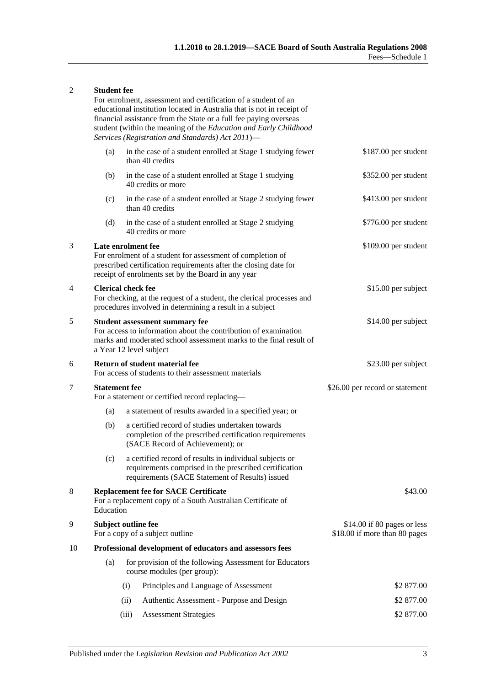#### 2 **Student fee**

For enrolment, assessment and certification of a student of an educational institution located in Australia that is not in receipt of financial assistance from the State or a full fee paying overseas student (within the meaning of the *[Education and Early Childhood](http://www.legislation.sa.gov.au/index.aspx?action=legref&type=act&legtitle=Education%20and%20Early%20Childhood%20Services%20(Registration%20and%20Standards)%20Act%202011)  [Services \(Registration and Standards\) Act](http://www.legislation.sa.gov.au/index.aspx?action=legref&type=act&legtitle=Education%20and%20Early%20Childhood%20Services%20(Registration%20and%20Standards)%20Act%202011) 2011*)—

|    | (a)                                                                                                                                                                                                        | in the case of a student enrolled at Stage 1 studying fewer<br>than 40 credits                                                                                       | \$187.00 per student                                         |
|----|------------------------------------------------------------------------------------------------------------------------------------------------------------------------------------------------------------|----------------------------------------------------------------------------------------------------------------------------------------------------------------------|--------------------------------------------------------------|
|    | (b)                                                                                                                                                                                                        | in the case of a student enrolled at Stage 1 studying<br>40 credits or more                                                                                          | \$352.00 per student                                         |
|    | (c)                                                                                                                                                                                                        | in the case of a student enrolled at Stage 2 studying fewer<br>than 40 credits                                                                                       | \$413.00 per student                                         |
|    | (d)                                                                                                                                                                                                        | in the case of a student enrolled at Stage 2 studying<br>40 credits or more                                                                                          | \$776.00 per student                                         |
| 3  | Late enrolment fee<br>For enrolment of a student for assessment of completion of<br>prescribed certification requirements after the closing date for<br>receipt of enrolments set by the Board in any year |                                                                                                                                                                      | \$109.00 per student                                         |
| 4  | <b>Clerical check fee</b><br>For checking, at the request of a student, the clerical processes and<br>procedures involved in determining a result in a subject                                             |                                                                                                                                                                      | \$15.00 per subject                                          |
| 5  | <b>Student assessment summary fee</b><br>For access to information about the contribution of examination<br>marks and moderated school assessment marks to the final result of<br>a Year 12 level subject  |                                                                                                                                                                      | \$14.00 per subject                                          |
| 6  | Return of student material fee<br>For access of students to their assessment materials                                                                                                                     |                                                                                                                                                                      | \$23.00 per subject                                          |
| 7  | <b>Statement fee</b>                                                                                                                                                                                       | For a statement or certified record replacing-                                                                                                                       | \$26.00 per record or statement                              |
|    | (a)                                                                                                                                                                                                        | a statement of results awarded in a specified year; or                                                                                                               |                                                              |
|    | (b)                                                                                                                                                                                                        | a certified record of studies undertaken towards<br>completion of the prescribed certification requirements<br>(SACE Record of Achievement); or                      |                                                              |
|    | (c)                                                                                                                                                                                                        | a certified record of results in individual subjects or<br>requirements comprised in the prescribed certification<br>requirements (SACE Statement of Results) issued |                                                              |
| 8  | <b>Replacement fee for SACE Certificate</b><br>For a replacement copy of a South Australian Certificate of<br>Education                                                                                    |                                                                                                                                                                      | \$43.00                                                      |
| 9  | Subject outline fee<br>For a copy of a subject outline                                                                                                                                                     |                                                                                                                                                                      | \$14.00 if 80 pages or less<br>\$18.00 if more than 80 pages |
| 10 |                                                                                                                                                                                                            | Professional development of educators and assessors fees                                                                                                             |                                                              |
|    | (a)                                                                                                                                                                                                        | for provision of the following Assessment for Educators<br>course modules (per group):                                                                               |                                                              |
|    |                                                                                                                                                                                                            | Principles and Language of Assessment<br>(i)                                                                                                                         | \$2 877.00                                                   |
|    |                                                                                                                                                                                                            | (ii)<br>Authentic Assessment - Purpose and Design                                                                                                                    | \$2 877.00                                                   |
|    |                                                                                                                                                                                                            | <b>Assessment Strategies</b><br>(iii)                                                                                                                                | \$2 877.00                                                   |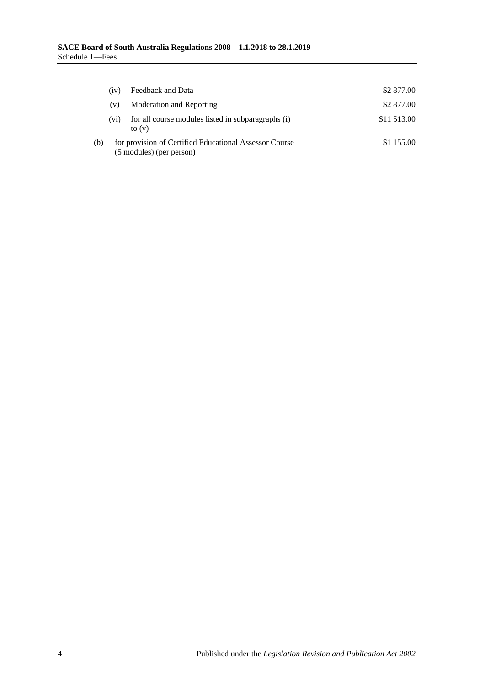|     | (iv)                                                                               | Feedback and Data                                              | \$2 877.00  |
|-----|------------------------------------------------------------------------------------|----------------------------------------------------------------|-------------|
|     | (v)                                                                                | Moderation and Reporting                                       | \$2 877.00  |
|     | (v <sub>1</sub> )                                                                  | for all course modules listed in subparagraphs (i)<br>to $(v)$ | \$11 513.00 |
| (b) | for provision of Certified Educational Assessor Course<br>(5 modules) (per person) |                                                                | \$1 155.00  |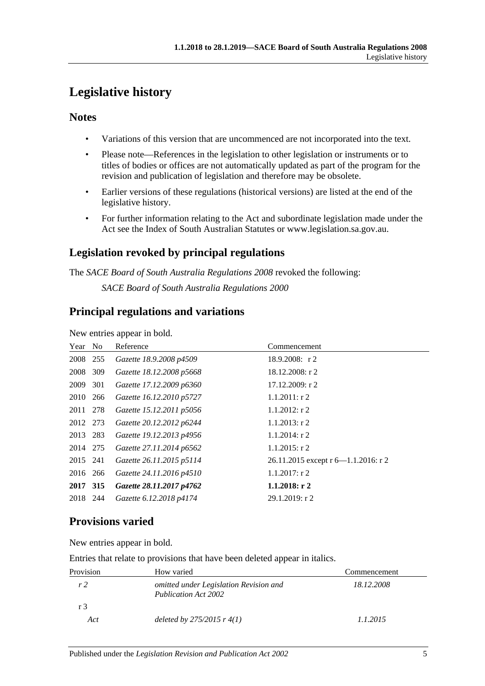# <span id="page-4-0"></span>**Legislative history**

## **Notes**

- Variations of this version that are uncommenced are not incorporated into the text.
- Please note—References in the legislation to other legislation or instruments or to titles of bodies or offices are not automatically updated as part of the program for the revision and publication of legislation and therefore may be obsolete.
- Earlier versions of these regulations (historical versions) are listed at the end of the legislative history.
- For further information relating to the Act and subordinate legislation made under the Act see the Index of South Australian Statutes or www.legislation.sa.gov.au.

# **Legislation revoked by principal regulations**

The *SACE Board of South Australia Regulations 2008* revoked the following:

*SACE Board of South Australia Regulations 2000*

## **Principal regulations and variations**

New entries appear in bold.

| Year No  |     | Reference                | Commencement                           |
|----------|-----|--------------------------|----------------------------------------|
| 2008 255 |     | Gazette 18.9.2008 p4509  | $18.9.2008$ : r 2                      |
| 2008     | 309 | Gazette 18.12.2008 p5668 | $18.12.2008:$ r 2                      |
| 2009     | 301 | Gazette 17.12.2009 p6360 | $17.12.2009$ : r 2                     |
| 2010 266 |     | Gazette 16.12.2010 p5727 | $1.1.2011:$ r 2                        |
| 2011 278 |     | Gazette 15.12.2011 p5056 | $1.1.2012$ : r 2                       |
| 2012 273 |     | Gazette 20.12.2012 p6244 | $1.1.2013$ : r 2                       |
| 2013 283 |     | Gazette 19.12.2013 p4956 | $1.1.2014$ : r 2                       |
| 2014 275 |     | Gazette 27.11.2014 p6562 | $1.1.2015$ : r 2                       |
| 2015 241 |     | Gazette 26.11.2015 p5114 | 26.11.2015 except r $6-1.1.2016$ : r 2 |
| 2016 266 |     | Gazette 24.11.2016 p4510 | $1.1.2017$ : r 2                       |
| 2017 315 |     | Gazette 28.11.2017 p4762 | $1.1.2018:$ r 2                        |
| 2018     | 244 | Gazette 6.12.2018 p4174  | $29.1.2019$ : r 2                      |

# **Provisions varied**

New entries appear in bold.

Entries that relate to provisions that have been deleted appear in italics.

| Provision | How varied                                                     | Commencement |
|-----------|----------------------------------------------------------------|--------------|
| r2        | omitted under Legislation Revision and<br>Publication Act 2002 | 18.12.2008   |
| r 3       |                                                                |              |
| Act       | deleted by $275/2015$ r $4(1)$                                 | 1.1.2015     |